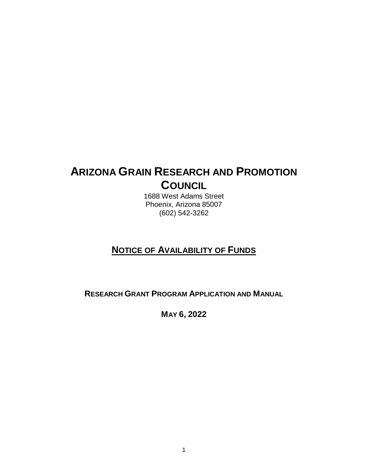# **ARIZONA GRAIN RESEARCH AND PROMOTION COUNCIL**

1688 West Adams Street Phoenix, Arizona 85007 (602) 542-3262

## **NOTICE OF AVAILABILITY OF FUNDS**

**RESEARCH GRANT PROGRAM APPLICATION AND MANUAL**

**MAY 6, 2022**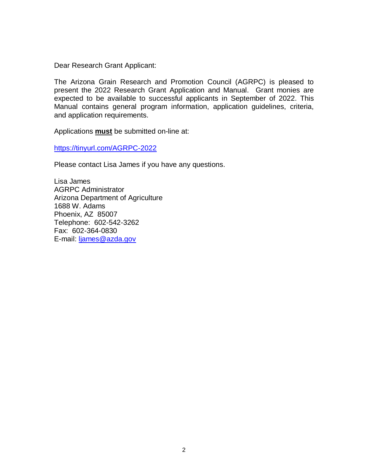Dear Research Grant Applicant:

The Arizona Grain Research and Promotion Council (AGRPC) is pleased to present the 2022 Research Grant Application and Manual. Grant monies are expected to be available to successful applicants in September of 2022. This Manual contains general program information, application guidelines, criteria, and application requirements.

Applications **must** be submitted on-line at:

<https://tinyurl.com/AGRPC-2022>

Please contact Lisa James if you have any questions.

Lisa James AGRPC Administrator Arizona Department of Agriculture 1688 W. Adams Phoenix, AZ 85007 Telephone: 602-542-3262 Fax: 602-364-0830 E-mail: [ljames@azda.gov](mailto:ljames@azda.gov)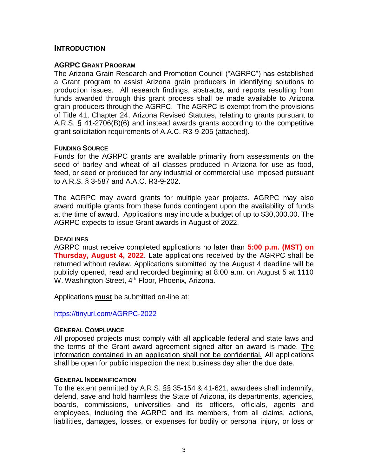#### **INTRODUCTION**

#### **AGRPC GRANT PROGRAM**

The Arizona Grain Research and Promotion Council ("AGRPC") has established a Grant program to assist Arizona grain producers in identifying solutions to production issues. All research findings, abstracts, and reports resulting from funds awarded through this grant process shall be made available to Arizona grain producers through the AGRPC. The AGRPC is exempt from the provisions of Title 41, Chapter 24, Arizona Revised Statutes, relating to grants pursuant to A.R.S. § 41-2706(B)(6) and instead awards grants according to the competitive grant solicitation requirements of A.A.C. R3-9-205 (attached).

#### **FUNDING SOURCE**

Funds for the AGRPC grants are available primarily from assessments on the seed of barley and wheat of all classes produced in Arizona for use as food, feed, or seed or produced for any industrial or commercial use imposed pursuant to A.R.S. § 3-587 and A.A.C. R3-9-202.

The AGRPC may award grants for multiple year projects. AGRPC may also award multiple grants from these funds contingent upon the availability of funds at the time of award. Applications may include a budget of up to \$30,000.00. The AGRPC expects to issue Grant awards in August of 2022.

#### **DEADLINES**

AGRPC must receive completed applications no later than **5:00 p.m. (MST) on Thursday, August 4, 2022**. Late applications received by the AGRPC shall be returned without review. Applications submitted by the August 4 deadline will be publicly opened, read and recorded beginning at 8:00 a.m. on August 5 at 1110 W. Washington Street, 4<sup>th</sup> Floor, Phoenix, Arizona.

Applications **must** be submitted on-line at:

#### <https://tinyurl.com/AGRPC-2022>

#### **GENERAL COMPLIANCE**

All proposed projects must comply with all applicable federal and state laws and the terms of the Grant award agreement signed after an award is made. The information contained in an application shall not be confidential. All applications shall be open for public inspection the next business day after the due date.

#### **GENERAL INDEMNIFICATION**

To the extent permitted by A.R.S. §§ 35-154 & 41-621, awardees shall indemnify, defend, save and hold harmless the State of Arizona, its departments, agencies, boards, commissions, universities and its officers, officials, agents and employees, including the AGRPC and its members, from all claims, actions, liabilities, damages, losses, or expenses for bodily or personal injury, or loss or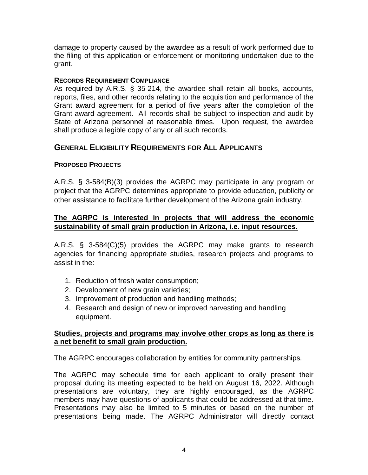damage to property caused by the awardee as a result of work performed due to the filing of this application or enforcement or monitoring undertaken due to the grant.

#### **RECORDS REQUIREMENT COMPLIANCE**

As required by A.R.S. § 35-214, the awardee shall retain all books, accounts, reports, files, and other records relating to the acquisition and performance of the Grant award agreement for a period of five years after the completion of the Grant award agreement. All records shall be subject to inspection and audit by State of Arizona personnel at reasonable times. Upon request, the awardee shall produce a legible copy of any or all such records.

## **GENERAL ELIGIBILITY REQUIREMENTS FOR ALL APPLICANTS**

## **PROPOSED PROJECTS**

A.R.S. § 3-584(B)(3) provides the AGRPC may participate in any program or project that the AGRPC determines appropriate to provide education, publicity or other assistance to facilitate further development of the Arizona grain industry.

## **The AGRPC is interested in projects that will address the economic sustainability of small grain production in Arizona, i.e. input resources.**

A.R.S. § 3-584(C)(5) provides the AGRPC may make grants to research agencies for financing appropriate studies, research projects and programs to assist in the:

- 1. Reduction of fresh water consumption;
- 2. Development of new grain varieties;
- 3. Improvement of production and handling methods;
- 4. Research and design of new or improved harvesting and handling equipment.

#### **Studies, projects and programs may involve other crops as long as there is a net benefit to small grain production.**

The AGRPC encourages collaboration by entities for community partnerships.

The AGRPC may schedule time for each applicant to orally present their proposal during its meeting expected to be held on August 16, 2022. Although presentations are voluntary, they are highly encouraged, as the AGRPC members may have questions of applicants that could be addressed at that time. Presentations may also be limited to 5 minutes or based on the number of presentations being made. The AGRPC Administrator will directly contact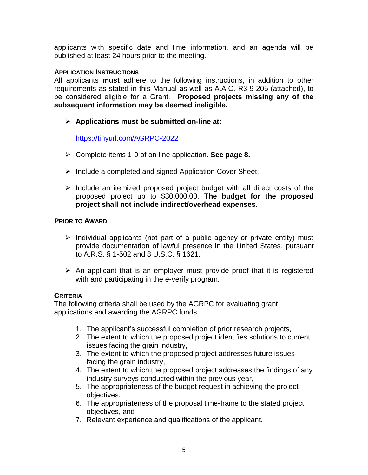applicants with specific date and time information, and an agenda will be published at least 24 hours prior to the meeting.

#### **APPLICATION INSTRUCTIONS**

All applicants **must** adhere to the following instructions, in addition to other requirements as stated in this Manual as well as A.A.C. R3-9-205 (attached), to be considered eligible for a Grant. **Proposed projects missing any of the subsequent information may be deemed ineligible.**

**Applications must be submitted on-line at:** 

<https://tinyurl.com/AGRPC-2022>

- Complete items 1-9 of on-line application. **See page 8.**
- $\triangleright$  Include a completed and signed Application Cover Sheet.
- $\triangleright$  Include an itemized proposed project budget with all direct costs of the proposed project up to \$30,000.00. **The budget for the proposed project shall not include indirect/overhead expenses.**

#### **PRIOR TO AWARD**

- $\triangleright$  Individual applicants (not part of a public agency or private entity) must provide documentation of lawful presence in the United States, pursuant to A.R.S. § 1-502 and 8 U.S.C. § 1621.
- $\triangleright$  An applicant that is an employer must provide proof that it is registered with and participating in the e-verify program.

#### **CRITERIA**

The following criteria shall be used by the AGRPC for evaluating grant applications and awarding the AGRPC funds.

- 1. The applicant's successful completion of prior research projects,
- 2. The extent to which the proposed project identifies solutions to current issues facing the grain industry,
- 3. The extent to which the proposed project addresses future issues facing the grain industry,
- 4. The extent to which the proposed project addresses the findings of any industry surveys conducted within the previous year,
- 5. The appropriateness of the budget request in achieving the project objectives,
- 6. The appropriateness of the proposal time-frame to the stated project objectives, and
- 7. Relevant experience and qualifications of the applicant.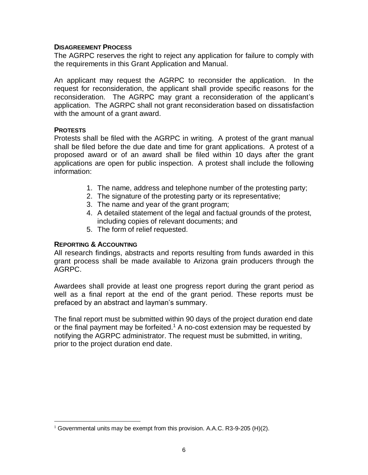#### **DISAGREEMENT PROCESS**

The AGRPC reserves the right to reject any application for failure to comply with the requirements in this Grant Application and Manual.

An applicant may request the AGRPC to reconsider the application. In the request for reconsideration, the applicant shall provide specific reasons for the reconsideration. The AGRPC may grant a reconsideration of the applicant's application. The AGRPC shall not grant reconsideration based on dissatisfaction with the amount of a grant award.

#### **PROTESTS**

 $\overline{a}$ 

Protests shall be filed with the AGRPC in writing. A protest of the grant manual shall be filed before the due date and time for grant applications. A protest of a proposed award or of an award shall be filed within 10 days after the grant applications are open for public inspection. A protest shall include the following information:

- 1. The name, address and telephone number of the protesting party;
- 2. The signature of the protesting party or its representative;
- 3. The name and year of the grant program;
- 4. A detailed statement of the legal and factual grounds of the protest, including copies of relevant documents; and
- 5. The form of relief requested.

#### **REPORTING & ACCOUNTING**

All research findings, abstracts and reports resulting from funds awarded in this grant process shall be made available to Arizona grain producers through the AGRPC.

Awardees shall provide at least one progress report during the grant period as well as a final report at the end of the grant period. These reports must be prefaced by an abstract and layman's summary.

The final report must be submitted within 90 days of the project duration end date or the final payment may be forfeited.<sup>1</sup> A no-cost extension may be requested by notifying the AGRPC administrator. The request must be submitted, in writing, prior to the project duration end date.

 $1$  Governmental units may be exempt from this provision. A.A.C. R3-9-205 (H)(2).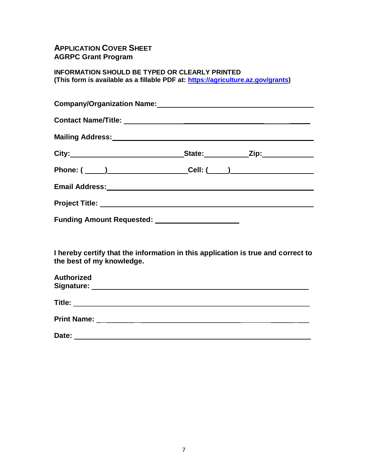## **APPLICATION COVER SHEET AGRPC Grant Program**

**INFORMATION SHOULD BE TYPED OR CLEARLY PRINTED (This form is available as a fillable PDF at: [https://agriculture.az.gov/grants\)](https://agriculture.az.gov/grants)**

|                           | Company/Organization Name: University of the Company/Organization Name:                 |  |
|---------------------------|-----------------------------------------------------------------------------------------|--|
|                           |                                                                                         |  |
|                           |                                                                                         |  |
|                           | City:___________________________________State:_____________Zip:_________________        |  |
|                           | Phone: ( ____ )____________________Cell: <u>(____ )___________________</u> ____________ |  |
|                           |                                                                                         |  |
|                           |                                                                                         |  |
|                           | Funding Amount Requested: _____________________                                         |  |
|                           |                                                                                         |  |
| the best of my knowledge. | I hereby certify that the information in this application is true and correct to        |  |
| Authorized                |                                                                                         |  |
|                           |                                                                                         |  |

| <b>Print Name:</b> |  |
|--------------------|--|
|                    |  |

| Date: |  |
|-------|--|
|       |  |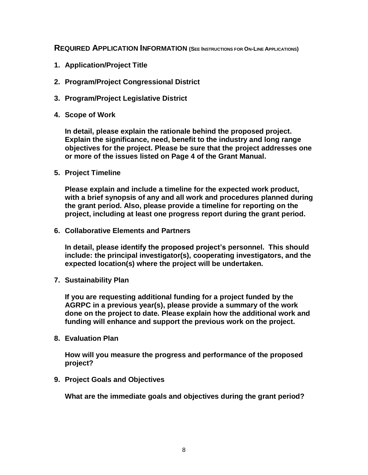**REQUIRED APPLICATION INFORMATION (SEE INSTRUCTIONS FOR ON-LINE APPLICATIONS)**

- **1. Application/Project Title**
- **2. Program/Project Congressional District**
- **3. Program/Project Legislative District**
- **4. Scope of Work**

**In detail, please explain the rationale behind the proposed project. Explain the significance, need, benefit to the industry and long range objectives for the project. Please be sure that the project addresses one or more of the issues listed on Page 4 of the Grant Manual.**

**5. Project Timeline**

**Please explain and include a timeline for the expected work product, with a brief synopsis of any and all work and procedures planned during the grant period. Also, please provide a timeline for reporting on the project, including at least one progress report during the grant period.**

**6. Collaborative Elements and Partners**

**In detail, please identify the proposed project's personnel. This should include: the principal investigator(s), cooperating investigators, and the expected location(s) where the project will be undertaken.**

**7. Sustainability Plan**

**If you are requesting additional funding for a project funded by the AGRPC in a previous year(s), please provide a summary of the work done on the project to date. Please explain how the additional work and funding will enhance and support the previous work on the project.**

**8. Evaluation Plan**

**How will you measure the progress and performance of the proposed project?**

**9. Project Goals and Objectives**

**What are the immediate goals and objectives during the grant period?**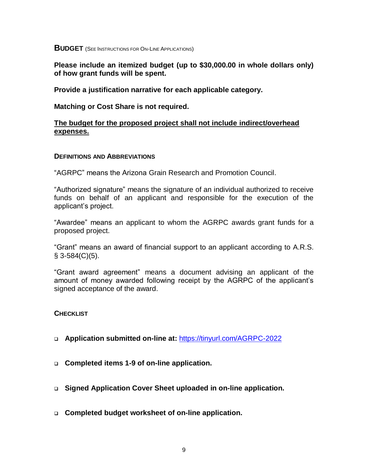**BUDGET** (SEE INSTRUCTIONS FOR ON-LINE APPLICATIONS)

**Please include an itemized budget (up to \$30,000.00 in whole dollars only) of how grant funds will be spent.** 

**Provide a justification narrative for each applicable category.**

**Matching or Cost Share is not required.**

#### **The budget for the proposed project shall not include indirect/overhead expenses.**

#### **DEFINITIONS AND ABBREVIATIONS**

"AGRPC" means the Arizona Grain Research and Promotion Council.

"Authorized signature" means the signature of an individual authorized to receive funds on behalf of an applicant and responsible for the execution of the applicant's project.

"Awardee" means an applicant to whom the AGRPC awards grant funds for a proposed project.

"Grant" means an award of financial support to an applicant according to A.R.S.  $§$  3-584(C)(5).

"Grant award agreement" means a document advising an applicant of the amount of money awarded following receipt by the AGRPC of the applicant's signed acceptance of the award.

#### **CHECKLIST**

- **Application submitted on-line at:** <https://tinyurl.com/AGRPC-2022>
- **Completed items 1-9 of on-line application.**
- **Signed Application Cover Sheet uploaded in on-line application.**
- **Completed budget worksheet of on-line application.**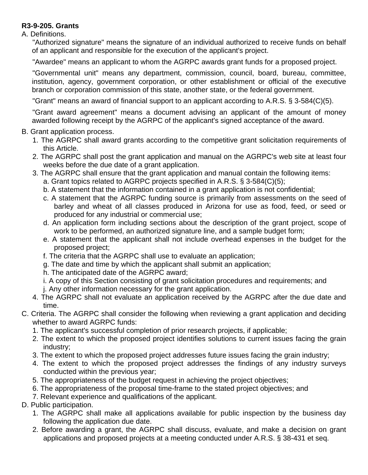## **R3-9-205. Grants**

A. Definitions.

"Authorized signature" means the signature of an individual authorized to receive funds on behalf of an applicant and responsible for the execution of the applicant's project.

"Awardee" means an applicant to whom the AGRPC awards grant funds for a proposed project.

"Governmental unit" means any department, commission, council, board, bureau, committee, institution, agency, government corporation, or other establishment or official of the executive branch or corporation commission of this state, another state, or the federal government.

"Grant" means an award of financial support to an applicant according to A.R.S. § 3-584(C)(5).

"Grant award agreement" means a document advising an applicant of the amount of money awarded following receipt by the AGRPC of the applicant's signed acceptance of the award.

- B. Grant application process.
	- 1. The AGRPC shall award grants according to the competitive grant solicitation requirements of this Article.
	- 2. The AGRPC shall post the grant application and manual on the AGRPC's web site at least four weeks before the due date of a grant application.
	- 3. The AGRPC shall ensure that the grant application and manual contain the following items:
		- a. Grant topics related to AGRPC projects specified in A.R.S. § 3-584(C)(5);
		- b. A statement that the information contained in a grant application is not confidential;
		- c. A statement that the AGRPC funding source is primarily from assessments on the seed of barley and wheat of all classes produced in Arizona for use as food, feed, or seed or produced for any industrial or commercial use;
		- d. An application form including sections about the description of the grant project, scope of work to be performed, an authorized signature line, and a sample budget form;
		- e. A statement that the applicant shall not include overhead expenses in the budget for the proposed project;
		- f. The criteria that the AGRPC shall use to evaluate an application;
		- g. The date and time by which the applicant shall submit an application;
		- h. The anticipated date of the AGRPC award;
		- i. A copy of this Section consisting of grant solicitation procedures and requirements; and
		- j. Any other information necessary for the grant application.
	- 4. The AGRPC shall not evaluate an application received by the AGRPC after the due date and time.
- C. Criteria. The AGRPC shall consider the following when reviewing a grant application and deciding whether to award AGRPC funds:
	- 1. The applicant's successful completion of prior research projects, if applicable;
	- 2. The extent to which the proposed project identifies solutions to current issues facing the grain industry;
	- 3. The extent to which the proposed project addresses future issues facing the grain industry;
	- 4. The extent to which the proposed project addresses the findings of any industry surveys conducted within the previous year;
	- 5. The appropriateness of the budget request in achieving the project objectives;
	- 6. The appropriateness of the proposal time-frame to the stated project objectives; and
	- 7. Relevant experience and qualifications of the applicant.
- D. Public participation.
	- 1. The AGRPC shall make all applications available for public inspection by the business day following the application due date.
	- 2. Before awarding a grant, the AGRPC shall discuss, evaluate, and make a decision on grant applications and proposed projects at a meeting conducted under A.R.S. § 38-431 et seq.